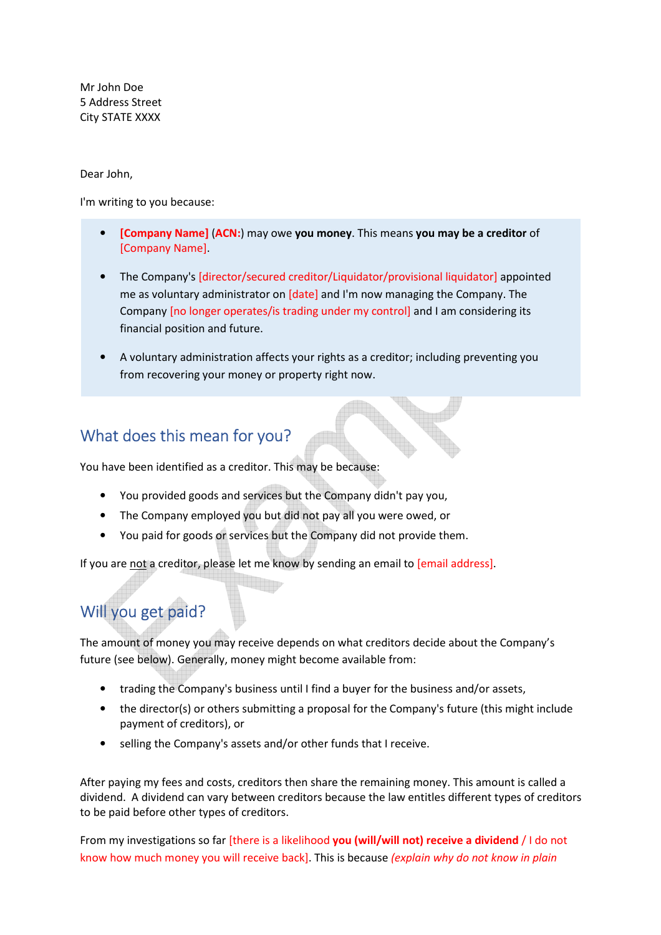Mr John Doe 5 Address Street City STATE XXXX

Dear John,

I'm writing to you because:

- **[Company Name]** (**ACN:**) may owe **you money**. This means **you may be a creditor** of [Company Name].
- The Company's [director/secured creditor/Liquidator/provisional liquidator] appointed me as voluntary administrator on [date] and I'm now managing the Company. The Company [no longer operates/is trading under my control] and I am considering its financial position and future.
- A voluntary administration affects your rights as a creditor; including preventing you from recovering your money or property right now.

#### What does this mean for you?

You have been identified as a creditor. This may be because:

- You provided goods and services but the Company didn't pay you,
- The Company employed you but did not pay all you were owed, or
- You paid for goods or services but the Company did not provide them.

If you are not a creditor, please let me know by sending an email to [email address].

## Will you get paid?

The amount of money you may receive depends on what creditors decide about the Company's future (see below). Generally, money might become available from:

- trading the Company's business until I find a buyer for the business and/or assets,
- the director(s) or others submitting a proposal for the Company's future (this might include payment of creditors), or
- selling the Company's assets and/or other funds that I receive.

After paying my fees and costs, creditors then share the remaining money. This amount is called a dividend. A dividend can vary between creditors because the law entitles different types of creditors to be paid before other types of creditors.

From my investigations so far [there is a likelihood **you (will/will not) receive a dividend** / I do not know how much money you will receive back]. This is because *(explain why do not know in plain*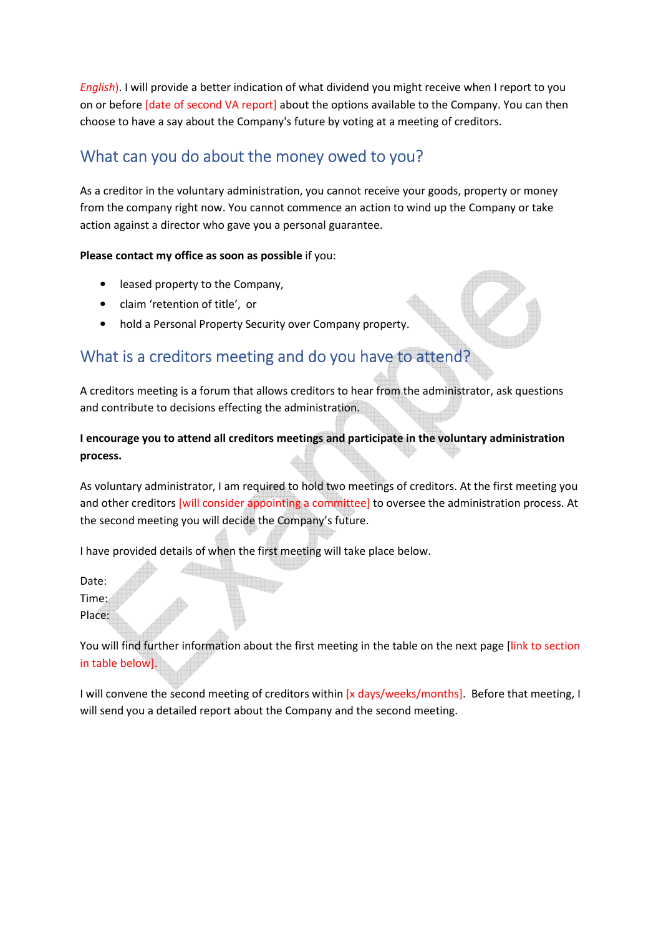*English*). I will provide a better indication of what dividend you might receive when I report to you on or before [date of second VA report] about the options available to the Company. You can then choose to have a say about the Company's future by voting at a meeting of creditors.

### What can you do about the money owed to you?

As a creditor in the voluntary administration, you cannot receive your goods, property or money from the company right now. You cannot commence an action to wind up the Company or take action against a director who gave you a personal guarantee.

**Please contact my office as soon as possible** if you:

- leased property to the Company,
- claim 'retention of title', or
- hold a Personal Property Security over Company property.

#### What is a creditors meeting and do you have to attend?

A creditors meeting is a forum that allows creditors to hear from the administrator, ask questions and contribute to decisions effecting the administration.

**I encourage you to attend all creditors meetings and participate in the voluntary administration process.** 

As voluntary administrator, I am required to hold two meetings of creditors. At the first meeting you and other creditors [will consider appointing a committee] to oversee the administration process. At the second meeting you will decide the Company's future.

I have provided details of when the first meeting will take place below.

Date:

Time:

Place:

You will find further information about the first meeting in the table on the next page [link to section in table below].

I will convene the second meeting of creditors within [x days/weeks/months]. Before that meeting, I will send you a detailed report about the Company and the second meeting.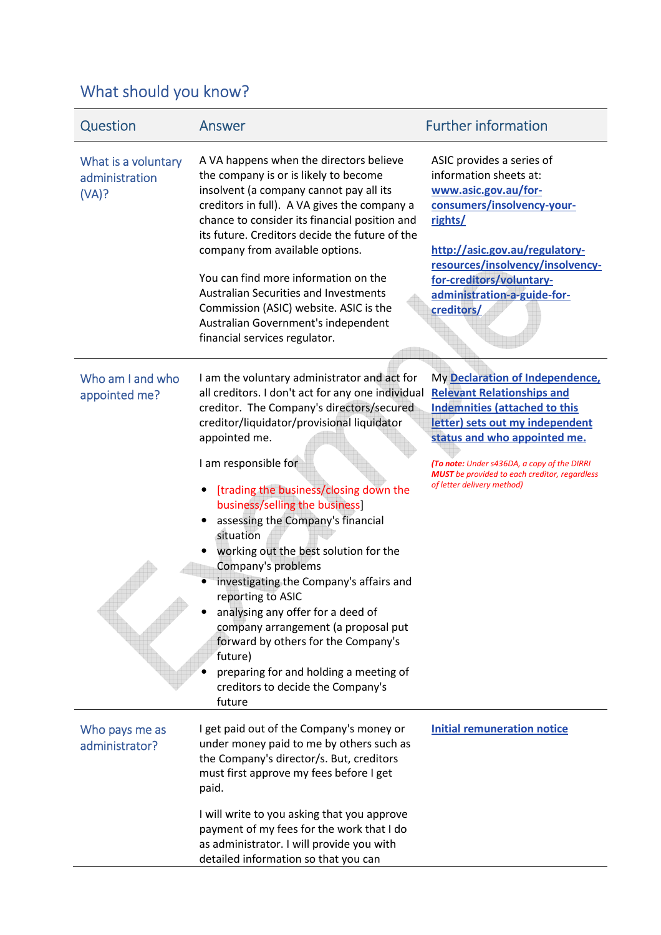# What should you know?

| Question                                       | Answer                                                                                                                                                                                                                                                                                                                                                                                                                                                                                                                                                                                                                                                                                                                    | <b>Further information</b>                                                                                                                                                                                                                                                                                           |
|------------------------------------------------|---------------------------------------------------------------------------------------------------------------------------------------------------------------------------------------------------------------------------------------------------------------------------------------------------------------------------------------------------------------------------------------------------------------------------------------------------------------------------------------------------------------------------------------------------------------------------------------------------------------------------------------------------------------------------------------------------------------------------|----------------------------------------------------------------------------------------------------------------------------------------------------------------------------------------------------------------------------------------------------------------------------------------------------------------------|
| What is a voluntary<br>administration<br>(VA)? | A VA happens when the directors believe<br>the company is or is likely to become<br>insolvent (a company cannot pay all its<br>creditors in full). A VA gives the company a<br>chance to consider its financial position and<br>its future. Creditors decide the future of the<br>company from available options.<br>You can find more information on the<br><b>Australian Securities and Investments</b><br>Commission (ASIC) website. ASIC is the<br>Australian Government's independent<br>financial services regulator.                                                                                                                                                                                               | ASIC provides a series of<br>information sheets at:<br>www.asic.gov.au/for-<br>consumers/insolvency-your-<br>rights/<br>http://asic.gov.au/regulatory-<br>resources/insolvency/insolvency-<br>for-creditors/voluntary-<br>administration-a-guide-for-<br>creditors/                                                  |
| Who am I and who<br>appointed me?              | I am the voluntary administrator and act for<br>all creditors. I don't act for any one individual<br>creditor. The Company's directors/secured<br>creditor/liquidator/provisional liquidator<br>appointed me.<br>I am responsible for<br>[trading the business/closing down the<br>business/selling the business]<br>assessing the Company's financial<br>situation<br>working out the best solution for the<br>Company's problems<br>investigating the Company's affairs and<br>reporting to ASIC<br>analysing any offer for a deed of<br>company arrangement (a proposal put<br>forward by others for the Company's<br>future)<br>preparing for and holding a meeting of<br>creditors to decide the Company's<br>future | My Declaration of Independence,<br><b>Relevant Relationships and</b><br><b>Indemnities (attached to this</b><br>letter) sets out my independent<br>status and who appointed me.<br>(To note: Under s436DA, a copy of the DIRRI<br><b>MUST</b> be provided to each creditor, regardless<br>of letter delivery method) |
| Who pays me as<br>administrator?               | I get paid out of the Company's money or<br>under money paid to me by others such as<br>the Company's director/s. But, creditors<br>must first approve my fees before I get<br>paid.                                                                                                                                                                                                                                                                                                                                                                                                                                                                                                                                      | <b>Initial remuneration notice</b>                                                                                                                                                                                                                                                                                   |
|                                                | I will write to you asking that you approve<br>payment of my fees for the work that I do<br>as administrator. I will provide you with<br>detailed information so that you can                                                                                                                                                                                                                                                                                                                                                                                                                                                                                                                                             |                                                                                                                                                                                                                                                                                                                      |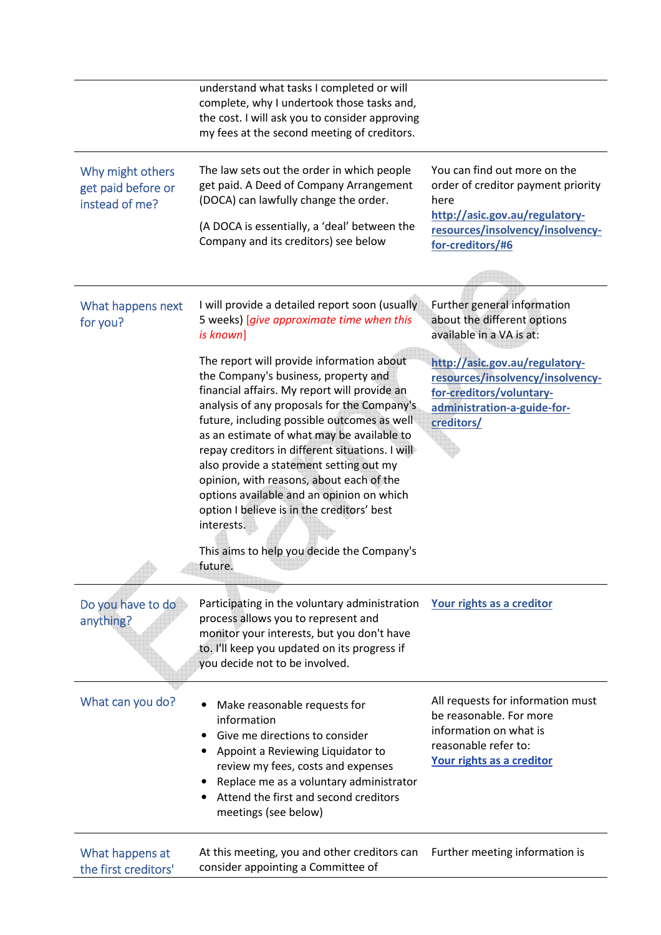|                                                          | understand what tasks I completed or will<br>complete, why I undertook those tasks and,<br>the cost. I will ask you to consider approving<br>my fees at the second meeting of creditors.                                                                                                                                                                                                                                                                                                                                                                                                  |                                                                                                                                                                      |
|----------------------------------------------------------|-------------------------------------------------------------------------------------------------------------------------------------------------------------------------------------------------------------------------------------------------------------------------------------------------------------------------------------------------------------------------------------------------------------------------------------------------------------------------------------------------------------------------------------------------------------------------------------------|----------------------------------------------------------------------------------------------------------------------------------------------------------------------|
| Why might others<br>get paid before or<br>instead of me? | The law sets out the order in which people<br>get paid. A Deed of Company Arrangement<br>(DOCA) can lawfully change the order.<br>(A DOCA is essentially, a 'deal' between the<br>Company and its creditors) see below                                                                                                                                                                                                                                                                                                                                                                    | You can find out more on the<br>order of creditor payment priority<br>here<br>http://asic.gov.au/regulatory-<br>resources/insolvency/insolvency-<br>for-creditors/#6 |
| What happens next<br>for you?                            | I will provide a detailed report soon (usually<br>5 weeks) [give approximate time when this<br>is known]                                                                                                                                                                                                                                                                                                                                                                                                                                                                                  | Further general information<br>about the different options<br>available in a VA is at:                                                                               |
|                                                          | The report will provide information about<br>the Company's business, property and<br>financial affairs. My report will provide an<br>analysis of any proposals for the Company's<br>future, including possible outcomes as well<br>as an estimate of what may be available to<br>repay creditors in different situations. I will<br>also provide a statement setting out my<br>opinion, with reasons, about each of the<br>options available and an opinion on which<br>option I believe is in the creditors' best<br>interests.<br>This aims to help you decide the Company's<br>future. | http://asic.gov.au/regulatory-<br>resources/insolvency/insolvency-<br>for-creditors/voluntary-<br>administration-a-guide-for-<br>creditors/                          |
| Do you have to do<br>anything?                           | Participating in the voluntary administration<br>process allows you to represent and<br>monitor your interests, but you don't have<br>to. I'll keep you updated on its progress if<br>you decide not to be involved.                                                                                                                                                                                                                                                                                                                                                                      | Your rights as a creditor                                                                                                                                            |
| What can you do?                                         | Make reasonable requests for<br>information<br>Give me directions to consider<br>Appoint a Reviewing Liquidator to<br>review my fees, costs and expenses<br>Replace me as a voluntary administrator<br>Attend the first and second creditors<br>meetings (see below)                                                                                                                                                                                                                                                                                                                      | All requests for information must<br>be reasonable. For more<br>information on what is<br>reasonable refer to:<br>Your rights as a creditor                          |
| What happens at<br>the first creditors'                  | At this meeting, you and other creditors can<br>consider appointing a Committee of                                                                                                                                                                                                                                                                                                                                                                                                                                                                                                        | Further meeting information is                                                                                                                                       |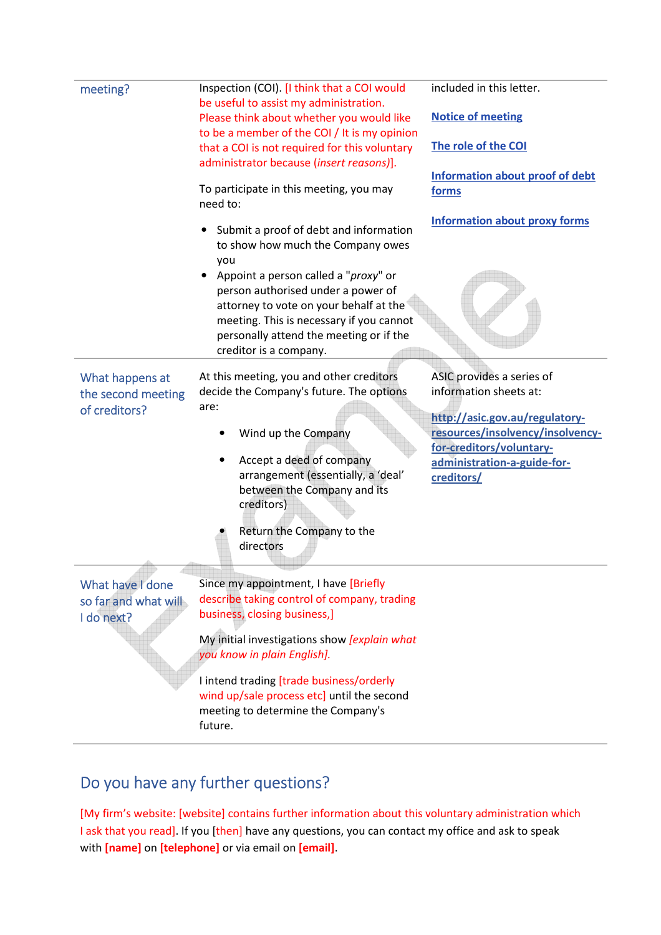| meeting?                                               | Inspection (COI). [I think that a COI would                                                                                                                                                                                                                                                                                                           | included in this letter.                                                                                                                                                                           |
|--------------------------------------------------------|-------------------------------------------------------------------------------------------------------------------------------------------------------------------------------------------------------------------------------------------------------------------------------------------------------------------------------------------------------|----------------------------------------------------------------------------------------------------------------------------------------------------------------------------------------------------|
|                                                        | be useful to assist my administration.<br>Please think about whether you would like<br>to be a member of the COI / It is my opinion                                                                                                                                                                                                                   | <b>Notice of meeting</b>                                                                                                                                                                           |
|                                                        | that a COI is not required for this voluntary<br>administrator because (insert reasons)].                                                                                                                                                                                                                                                             | The role of the COI                                                                                                                                                                                |
|                                                        | To participate in this meeting, you may<br>need to:                                                                                                                                                                                                                                                                                                   | <b>Information about proof of debt</b><br>forms                                                                                                                                                    |
|                                                        | Submit a proof of debt and information<br>to show how much the Company owes<br>you<br>Appoint a person called a "proxy" or<br>person authorised under a power of<br>attorney to vote on your behalf at the<br>meeting. This is necessary if you cannot<br>personally attend the meeting or if the<br>creditor is a company.                           | <b>Information about proxy forms</b>                                                                                                                                                               |
| What happens at<br>the second meeting<br>of creditors? | At this meeting, you and other creditors<br>decide the Company's future. The options<br>are:<br>Wind up the Company<br>Accept a deed of company<br>$\bullet$<br>arrangement (essentially, a 'deal'<br>between the Company and its<br>creditors)<br>Return the Company to the<br>directors                                                             | ASIC provides a series of<br>information sheets at:<br>http://asic.gov.au/regulatory-<br>resources/insolvency/insolvency-<br>for-creditors/voluntary-<br>administration-a-guide-for-<br>creditors/ |
| What have I done<br>so far and what will<br>I do next? | Since my appointment, I have [Briefly<br>describe taking control of company, trading<br>business, closing business,]<br>My initial investigations show <i>[explain what</i><br>you know in plain English].<br>I intend trading [trade business/orderly<br>wind up/sale process etc] until the second<br>meeting to determine the Company's<br>future. |                                                                                                                                                                                                    |

## Do you have any further questions?

[My firm's website: [website] contains further information about this voluntary administration which I ask that you read]. If you [then] have any questions, you can contact my office and ask to speak with **[name]** on **[telephone]** or via email on **[email]**.